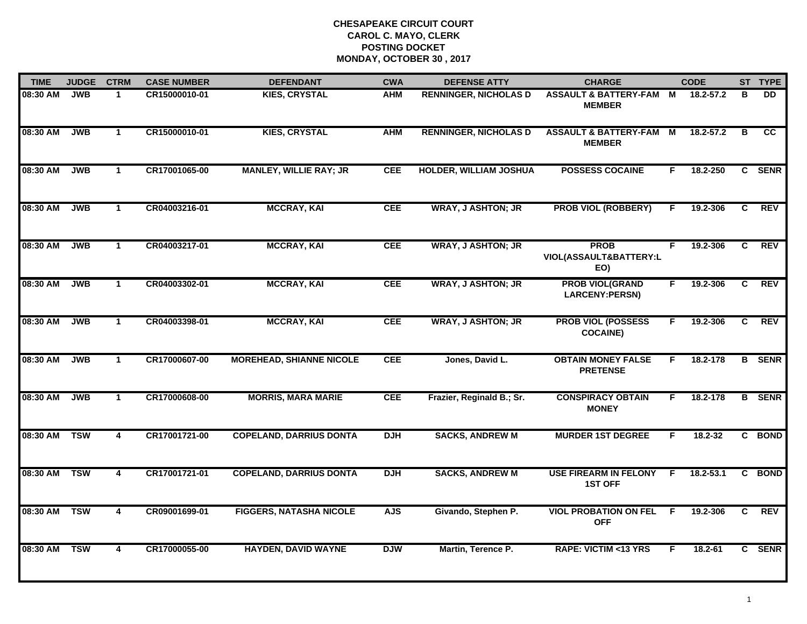| <b>TIME</b> | <b>JUDGE</b> | <b>CTRM</b>    | <b>CASE NUMBER</b> | <b>DEFENDANT</b>                | <b>CWA</b> | <b>DEFENSE ATTY</b>           | <b>CHARGE</b>                                     |    | <b>CODE</b>   |                | ST TYPE         |
|-------------|--------------|----------------|--------------------|---------------------------------|------------|-------------------------------|---------------------------------------------------|----|---------------|----------------|-----------------|
| 08:30 AM    | <b>JWB</b>   | $\mathbf 1$    | CR15000010-01      | <b>KIES, CRYSTAL</b>            | <b>AHM</b> | <b>RENNINGER, NICHOLAS D</b>  | <b>ASSAULT &amp; BATTERY-FAM</b><br><b>MEMBER</b> | M  | 18.2-57.2     | B              | <b>DD</b>       |
| 08:30 AM    | <b>JWB</b>   | $\mathbf{1}$   | CR15000010-01      | <b>KIES, CRYSTAL</b>            | <b>AHM</b> | <b>RENNINGER, NICHOLAS D</b>  | <b>ASSAULT &amp; BATTERY-FAM</b><br><b>MEMBER</b> | M  | $18.2 - 57.2$ | в              | $\overline{cc}$ |
| 08:30 AM    | <b>JWB</b>   | $\mathbf{1}$   | CR17001065-00      | <b>MANLEY, WILLIE RAY; JR</b>   | <b>CEE</b> | <b>HOLDER, WILLIAM JOSHUA</b> | <b>POSSESS COCAINE</b>                            | F. | 18.2-250      |                | C SENR          |
| 08:30 AM    | <b>JWB</b>   | $\mathbf 1$    | CR04003216-01      | <b>MCCRAY, KAI</b>              | <b>CEE</b> | <b>WRAY, J ASHTON; JR</b>     | <b>PROB VIOL (ROBBERY)</b>                        | F  | 19.2-306      | C              | <b>REV</b>      |
| 08:30 AM    | <b>JWB</b>   | $\mathbf{1}$   | CR04003217-01      | <b>MCCRAY, KAI</b>              | <b>CEE</b> | <b>WRAY, J ASHTON; JR</b>     | <b>PROB</b><br>VIOL(ASSAULT&BATTERY:L<br>EO)      | F. | 19.2-306      | C              | <b>REV</b>      |
| 08:30 AM    | <b>JWB</b>   | $\mathbf{1}$   | CR04003302-01      | <b>MCCRAY, KAI</b>              | <b>CEE</b> | <b>WRAY, J ASHTON; JR</b>     | <b>PROB VIOL(GRAND</b><br>LARCENY:PERSN)          | F. | 19.2-306      | C              | <b>REV</b>      |
| 08:30 AM    | <b>JWB</b>   | $\overline{1}$ | CR04003398-01      | <b>MCCRAY, KAI</b>              | <b>CEE</b> | <b>WRAY, J ASHTON; JR</b>     | <b>PROB VIOL (POSSESS</b><br><b>COCAINE)</b>      | F  | 19.2-306      | $\overline{c}$ | <b>REV</b>      |
| 08:30 AM    | <b>JWB</b>   | $\mathbf{1}$   | CR17000607-00      | <b>MOREHEAD, SHIANNE NICOLE</b> | <b>CEE</b> | Jones, David L.               | <b>OBTAIN MONEY FALSE</b><br><b>PRETENSE</b>      | F. | 18.2-178      |                | <b>B</b> SENR   |
| 08:30 AM    | <b>JWB</b>   | $\mathbf 1$    | CR17000608-00      | <b>MORRIS, MARA MARIE</b>       | <b>CEE</b> | Frazier, Reginald B.; Sr.     | <b>CONSPIRACY OBTAIN</b><br><b>MONEY</b>          | F  | 18.2-178      |                | <b>B</b> SENR   |
| 08:30 AM    | <b>TSW</b>   | 4              | CR17001721-00      | <b>COPELAND, DARRIUS DONTA</b>  | <b>DJH</b> | <b>SACKS, ANDREW M</b>        | <b>MURDER 1ST DEGREE</b>                          | F. | $18.2 - 32$   |                | C BOND          |
| 08:30 AM    | <b>TSW</b>   | 4              | CR17001721-01      | <b>COPELAND, DARRIUS DONTA</b>  | <b>DJH</b> | <b>SACKS, ANDREW M</b>        | <b>USE FIREARM IN FELONY</b><br><b>1ST OFF</b>    | F. | $18.2 - 53.1$ |                | C BOND          |
| 08:30 AM    | <b>TSW</b>   | 4              | CR09001699-01      | <b>FIGGERS, NATASHA NICOLE</b>  | <b>AJS</b> | Givando, Stephen P.           | <b>VIOL PROBATION ON FEL</b><br><b>OFF</b>        | E  | 19.2-306      | C              | <b>REV</b>      |
| 08:30 AM    | <b>TSW</b>   | 4              | CR17000055-00      | <b>HAYDEN, DAVID WAYNE</b>      | <b>DJW</b> | Martin, Terence P.            | <b>RAPE: VICTIM &lt;13 YRS</b>                    | F  | $18.2 - 61$   |                | C SENR          |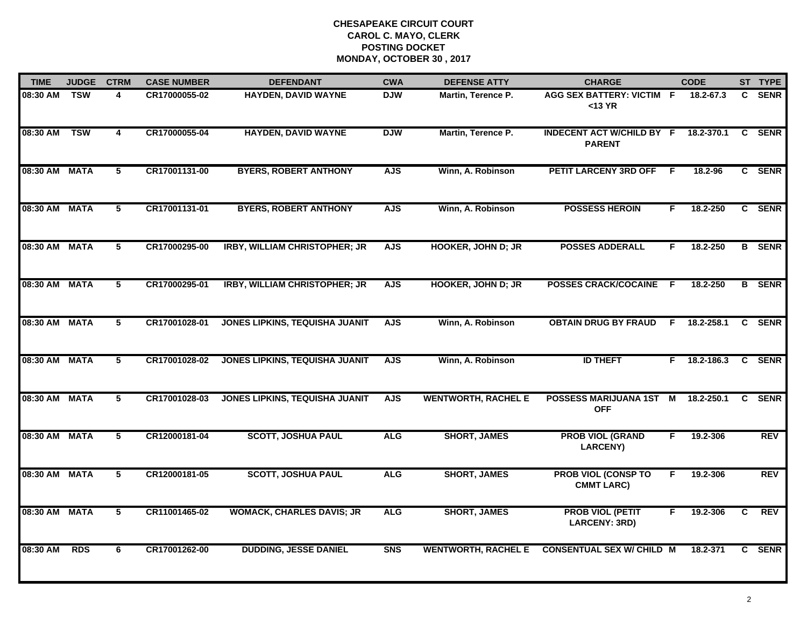| <b>TIME</b>   | <b>JUDGE</b> | <b>CTRM</b>             | <b>CASE NUMBER</b> | <b>DEFENDANT</b>                      | <b>CWA</b> | <b>DEFENSE ATTY</b>        | <b>CHARGE</b>                                     |    | <b>CODE</b> |    | ST TYPE       |
|---------------|--------------|-------------------------|--------------------|---------------------------------------|------------|----------------------------|---------------------------------------------------|----|-------------|----|---------------|
| 08:30 AM      | <b>TSW</b>   | 4                       | CR17000055-02      | <b>HAYDEN, DAVID WAYNE</b>            | <b>DJW</b> | Martin, Terence P.         | AGG SEX BATTERY: VICTIM F<br>$13 YR$              |    | 18.2-67.3   | C. | <b>SENR</b>   |
| 08:30 AM      | <b>TSW</b>   | 4                       | CR17000055-04      | <b>HAYDEN, DAVID WAYNE</b>            | <b>DJW</b> | Martin, Terence P.         | <b>INDECENT ACT W/CHILD BY F</b><br><b>PARENT</b> |    | 18.2-370.1  | C  | <b>SENR</b>   |
| 08:30 AM      | <b>MATA</b>  | $\overline{5}$          | CR17001131-00      | <b>BYERS, ROBERT ANTHONY</b>          | <b>AJS</b> | Winn, A. Robinson          | PETIT LARCENY 3RD OFF                             | E  | 18.2-96     |    | C SENR        |
| 08:30 AM MATA |              | 5                       | CR17001131-01      | <b>BYERS, ROBERT ANTHONY</b>          | <b>AJS</b> | Winn, A. Robinson          | <b>POSSESS HEROIN</b>                             | F. | 18.2-250    |    | C SENR        |
| 08:30 AM MATA |              | 5                       | CR17000295-00      | <b>IRBY, WILLIAM CHRISTOPHER; JR</b>  | <b>AJS</b> | <b>HOOKER, JOHN D; JR</b>  | <b>POSSES ADDERALL</b>                            | F. | 18.2-250    |    | <b>B</b> SENR |
| 08:30 AM MATA |              | 5                       | CR17000295-01      | <b>IRBY, WILLIAM CHRISTOPHER; JR</b>  | <b>AJS</b> | <b>HOOKER, JOHN D; JR</b>  | POSSES CRACK/COCAINE F                            |    | 18.2-250    |    | <b>B</b> SENR |
| 08:30 AM MATA |              | 5                       | CR17001028-01      | JONES LIPKINS, TEQUISHA JUANIT        | <b>AJS</b> | Winn, A. Robinson          | <b>OBTAIN DRUG BY FRAUD</b>                       | F. | 18.2-258.1  | C  | <b>SENR</b>   |
| 08:30 AM MATA |              | $\overline{5}$          | CR17001028-02      | <b>JONES LIPKINS, TEQUISHA JUANIT</b> | <b>AJS</b> | Winn, A. Robinson          | <b>ID THEFT</b>                                   | F. | 18.2-186.3  |    | C SENR        |
| 08:30 AM MATA |              | 5                       | CR17001028-03      | <b>JONES LIPKINS, TEQUISHA JUANIT</b> | <b>AJS</b> | <b>WENTWORTH, RACHEL E</b> | <b>POSSESS MARIJUANA 1ST</b><br><b>OFF</b>        | M  | 18.2-250.1  | C. | <b>SENR</b>   |
| 08:30 AM MATA |              | 5                       | CR12000181-04      | <b>SCOTT, JOSHUA PAUL</b>             | <b>ALG</b> | <b>SHORT, JAMES</b>        | <b>PROB VIOL (GRAND</b><br><b>LARCENY)</b>        | F. | 19.2-306    |    | <b>REV</b>    |
| 08:30 AM MATA |              | 5                       | CR12000181-05      | <b>SCOTT, JOSHUA PAUL</b>             | <b>ALG</b> | <b>SHORT, JAMES</b>        | <b>PROB VIOL (CONSP TO</b><br><b>CMMT LARC)</b>   | F. | 19.2-306    |    | <b>REV</b>    |
| 08:30 AM MATA |              | $\overline{\mathbf{5}}$ | CR11001465-02      | <b>WOMACK, CHARLES DAVIS; JR</b>      | <b>ALG</b> | <b>SHORT, JAMES</b>        | <b>PROB VIOL (PETIT</b><br>LARCENY: 3RD)          | F. | 19.2-306    | C. | <b>REV</b>    |
| 08:30 AM      | <b>RDS</b>   | 6                       | CR17001262-00      | <b>DUDDING, JESSE DANIEL</b>          | <b>SNS</b> | <b>WENTWORTH, RACHEL E</b> | <b>CONSENTUAL SEX W/ CHILD M</b>                  |    | 18.2-371    |    | C SENR        |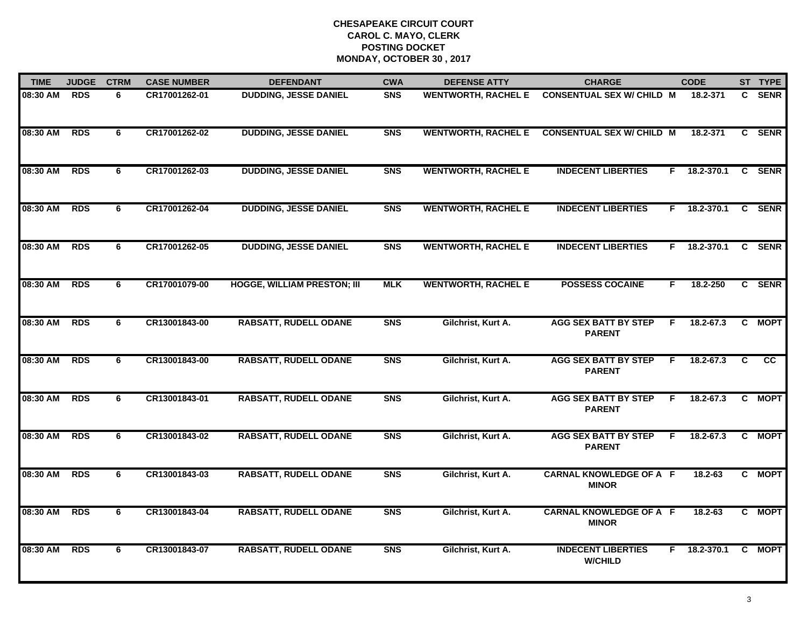| <b>TIME</b> | <b>JUDGE</b> | <b>CTRM</b> | <b>CASE NUMBER</b> | <b>DEFENDANT</b>                   | <b>CWA</b> | <b>DEFENSE ATTY</b>        | <b>CHARGE</b>                                  | <b>CODE</b>         |   | ST TYPE     |
|-------------|--------------|-------------|--------------------|------------------------------------|------------|----------------------------|------------------------------------------------|---------------------|---|-------------|
| 08:30 AM    | <b>RDS</b>   | 6           | CR17001262-01      | <b>DUDDING, JESSE DANIEL</b>       | <b>SNS</b> | <b>WENTWORTH, RACHEL E</b> | <b>CONSENTUAL SEX W/ CHILD M</b>               | 18.2-371            |   | C SENR      |
| 08:30 AM    | <b>RDS</b>   | 6           | CR17001262-02      | <b>DUDDING, JESSE DANIEL</b>       | <b>SNS</b> |                            | WENTWORTH, RACHEL E CONSENTUAL SEX W/ CHILD M  | 18.2-371            |   | C SENR      |
| 08:30 AM    | <b>RDS</b>   | 6           | CR17001262-03      | <b>DUDDING, JESSE DANIEL</b>       | <b>SNS</b> | <b>WENTWORTH, RACHEL E</b> | <b>INDECENT LIBERTIES</b>                      | 18.2-370.1<br>F.    |   | C SENR      |
| 08:30 AM    | <b>RDS</b>   | 6           | CR17001262-04      | <b>DUDDING, JESSE DANIEL</b>       | <b>SNS</b> | <b>WENTWORTH, RACHEL E</b> | <b>INDECENT LIBERTIES</b>                      | F 18.2-370.1        |   | C SENR      |
| 08:30 AM    | <b>RDS</b>   | 6           | CR17001262-05      | <b>DUDDING, JESSE DANIEL</b>       | <b>SNS</b> | <b>WENTWORTH, RACHEL E</b> | <b>INDECENT LIBERTIES</b>                      | $F$ 18.2-370.1      |   | C SENR      |
| 08:30 AM    | <b>RDS</b>   | 6           | CR17001079-00      | <b>HOGGE, WILLIAM PRESTON; III</b> | <b>MLK</b> | <b>WENTWORTH, RACHEL E</b> | <b>POSSESS COCAINE</b>                         | 18.2-250<br>F.      |   | C SENR      |
| 08:30 AM    | <b>RDS</b>   | 6           | CR13001843-00      | <b>RABSATT, RUDELL ODANE</b>       | <b>SNS</b> | Gilchrist, Kurt A.         | <b>AGG SEX BATT BY STEP</b><br><b>PARENT</b>   | 18.2-67.3<br>F      | C | <b>MOPT</b> |
| 08:30 AM    | <b>RDS</b>   | 6           | CR13001843-00      | <b>RABSATT, RUDELL ODANE</b>       | <b>SNS</b> | Gilchrist, Kurt A.         | <b>AGG SEX BATT BY STEP</b><br><b>PARENT</b>   | 18.2-67.3<br>F      | C | cc          |
| 08:30 AM    | <b>RDS</b>   | 6           | CR13001843-01      | <b>RABSATT, RUDELL ODANE</b>       | <b>SNS</b> | Gilchrist, Kurt A.         | <b>AGG SEX BATT BY STEP</b><br><b>PARENT</b>   | $18.2 - 67.3$<br>F. |   | C MOPT      |
| 08:30 AM    | <b>RDS</b>   | 6           | CR13001843-02      | <b>RABSATT, RUDELL ODANE</b>       | <b>SNS</b> | Gilchrist, Kurt A.         | <b>AGG SEX BATT BY STEP</b><br><b>PARENT</b>   | 18.2-67.3<br>F.     |   | C MOPT      |
| 08:30 AM    | <b>RDS</b>   | 6           | CR13001843-03      | <b>RABSATT, RUDELL ODANE</b>       | <b>SNS</b> | Gilchrist, Kurt A.         | <b>CARNAL KNOWLEDGE OF A F</b><br><b>MINOR</b> | $18.2 - 63$         |   | C MOPT      |
| 08:30 AM    | <b>RDS</b>   | 6           | CR13001843-04      | <b>RABSATT, RUDELL ODANE</b>       | <b>SNS</b> | Gilchrist, Kurt A.         | <b>CARNAL KNOWLEDGE OF A F</b><br><b>MINOR</b> | 18.2-63             |   | C MOPT      |
| 08:30 AM    | <b>RDS</b>   | 6           | CR13001843-07      | <b>RABSATT, RUDELL ODANE</b>       | <b>SNS</b> | Gilchrist, Kurt A.         | <b>INDECENT LIBERTIES</b><br><b>W/CHILD</b>    | $F = 18.2 - 370.1$  |   | C MOPT      |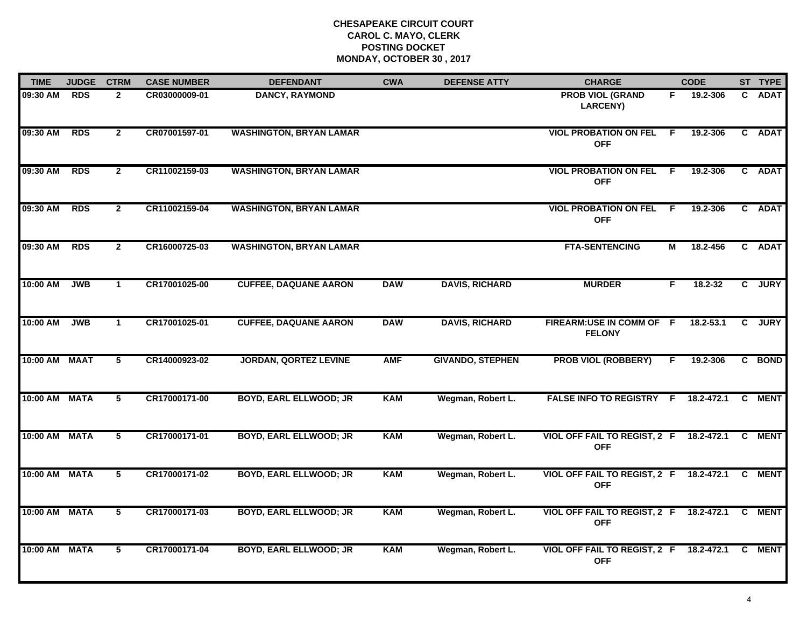| <b>TIME</b>   | <b>JUDGE</b> | <b>CTRM</b>    | <b>CASE NUMBER</b> | <b>DEFENDANT</b>               | <b>CWA</b> | <b>DEFENSE ATTY</b>     | <b>CHARGE</b>                                         |     | <b>CODE</b> |                | ST TYPE     |
|---------------|--------------|----------------|--------------------|--------------------------------|------------|-------------------------|-------------------------------------------------------|-----|-------------|----------------|-------------|
| 09:30 AM      | <b>RDS</b>   | $\mathbf{2}$   | CR03000009-01      | <b>DANCY, RAYMOND</b>          |            |                         | <b>PROB VIOL (GRAND</b><br><b>LARCENY)</b>            | F.  | 19.2-306    |                | C ADAT      |
| 09:30 AM      | <b>RDS</b>   | $\overline{2}$ | CR07001597-01      | <b>WASHINGTON, BRYAN LAMAR</b> |            |                         | <b>VIOL PROBATION ON FEL</b><br><b>OFF</b>            | F.  | 19.2-306    |                | C ADAT      |
| 09:30 AM      | <b>RDS</b>   | $\mathbf{2}$   | CR11002159-03      | <b>WASHINGTON, BRYAN LAMAR</b> |            |                         | <b>VIOL PROBATION ON FEL</b><br><b>OFF</b>            | - F | 19.2-306    |                | C ADAT      |
| 09:30 AM      | <b>RDS</b>   | $\overline{2}$ | CR11002159-04      | <b>WASHINGTON, BRYAN LAMAR</b> |            |                         | <b>VIOL PROBATION ON FEL</b><br><b>OFF</b>            | - F | 19.2-306    |                | C ADAT      |
| 09:30 AM      | <b>RDS</b>   | $\overline{2}$ | CR16000725-03      | <b>WASHINGTON, BRYAN LAMAR</b> |            |                         | <b>FTA-SENTENCING</b>                                 | М   | 18.2-456    |                | C ADAT      |
| 10:00 AM      | <b>JWB</b>   | $\mathbf{1}$   | CR17001025-00      | <b>CUFFEE, DAQUANE AARON</b>   | <b>DAW</b> | <b>DAVIS, RICHARD</b>   | <b>MURDER</b>                                         | F.  | 18.2-32     | $\mathbf{c}$   | <b>JURY</b> |
| 10:00 AM      | <b>JWB</b>   | $\mathbf{1}$   | CR17001025-01      | <b>CUFFEE, DAQUANE AARON</b>   | <b>DAW</b> | <b>DAVIS, RICHARD</b>   | FIREARM:USE IN COMM OF F<br><b>FELONY</b>             |     | 18.2-53.1   | $\overline{c}$ | <b>JURY</b> |
| 10:00 AM MAAT |              | 5              | CR14000923-02      | <b>JORDAN, QORTEZ LEVINE</b>   | <b>AMF</b> | <b>GIVANDO, STEPHEN</b> | <b>PROB VIOL (ROBBERY)</b>                            | F   | 19.2-306    |                | C BOND      |
| 10:00 AM MATA |              | 5              | CR17000171-00      | <b>BOYD, EARL ELLWOOD; JR</b>  | <b>KAM</b> | Wegman, Robert L.       | <b>FALSE INFO TO REGISTRY F</b>                       |     | 18.2-472.1  | C              | <b>MENT</b> |
| 10:00 AM MATA |              | 5              | CR17000171-01      | <b>BOYD, EARL ELLWOOD; JR</b>  | <b>KAM</b> | Wegman, Robert L.       | <b>VIOL OFF FAIL TO REGIST, 2 F</b><br><b>OFF</b>     |     | 18.2-472.1  |                | C MENT      |
| 10:00 AM MATA |              | $\overline{5}$ | CR17000171-02      | <b>BOYD, EARL ELLWOOD; JR</b>  | <b>KAM</b> | Wegman, Robert L.       | VIOL OFF FAIL TO REGIST, 2 F<br><b>OFF</b>            |     | 18.2-472.1  | C              | <b>MENT</b> |
| 10:00 AM MATA |              | $\overline{5}$ | CR17000171-03      | <b>BOYD, EARL ELLWOOD; JR</b>  | <b>KAM</b> | Wegman, Robert L.       | <b>VIOL OFF FAIL TO REGIST, 2 F</b><br><b>OFF</b>     |     | 18.2-472.1  | C              | <b>MENT</b> |
| 10:00 AM MATA |              | 5              | CR17000171-04      | <b>BOYD, EARL ELLWOOD; JR</b>  | <b>KAM</b> | Wegman, Robert L.       | VIOL OFF FAIL TO REGIST, 2 F 18.2-472.1<br><b>OFF</b> |     |             | C              | <b>MENT</b> |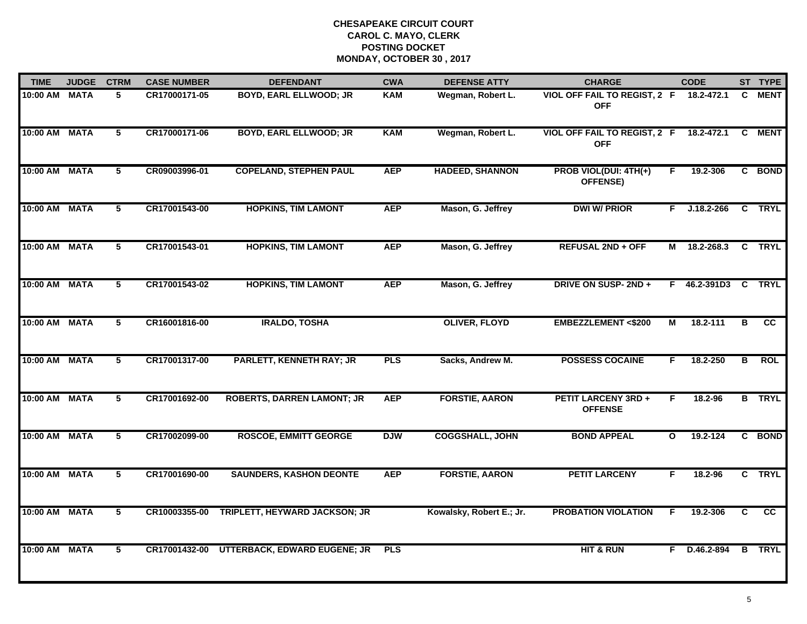| <b>TIME</b>   | <b>JUDGE</b> | <b>CTRM</b>             | <b>CASE NUMBER</b> | <b>DEFENDANT</b>                    | <b>CWA</b> | <b>DEFENSE ATTY</b>      | <b>CHARGE</b>                                   |              | <b>CODE</b>    |                         | ST TYPE         |
|---------------|--------------|-------------------------|--------------------|-------------------------------------|------------|--------------------------|-------------------------------------------------|--------------|----------------|-------------------------|-----------------|
| 10:00 AM      | <b>MATA</b>  | 5                       | CR17000171-05      | <b>BOYD, EARL ELLWOOD; JR</b>       | <b>KAM</b> | Wegman, Robert L.        | VIOL OFF FAIL TO REGIST, 2 F<br><b>OFF</b>      |              | 18.2-472.1     | C                       | <b>MENT</b>     |
| 10:00 AM      | <b>MATA</b>  | 5                       | CR17000171-06      | <b>BOYD, EARL ELLWOOD; JR</b>       | <b>KAM</b> | Wegman, Robert L.        | VIOL OFF FAIL TO REGIST, 2 F<br><b>OFF</b>      |              | 18.2-472.1     | C                       | <b>MENT</b>     |
| 10:00 AM      | <b>MATA</b>  | 5                       | CR09003996-01      | <b>COPELAND, STEPHEN PAUL</b>       | <b>AEP</b> | <b>HADEED, SHANNON</b>   | <b>PROB VIOL(DUI: 4TH(+)</b><br><b>OFFENSE)</b> | F            | 19.2-306       |                         | C BOND          |
| 10:00 AM      | <b>MATA</b>  | 5                       | CR17001543-00      | <b>HOPKINS, TIM LAMONT</b>          | <b>AEP</b> | Mason, G. Jeffrey        | <b>DWI W/ PRIOR</b>                             | F.           | $J.18.2 - 266$ |                         | C TRYL          |
| 10:00 AM      | <b>MATA</b>  | 5                       | CR17001543-01      | <b>HOPKINS, TIM LAMONT</b>          | <b>AEP</b> | Mason, G. Jeffrey        | <b>REFUSAL 2ND + OFF</b>                        | М            | 18.2-268.3     | $\mathbf{c}$            | <b>TRYL</b>     |
| 10:00 AM MATA |              | 5                       | CR17001543-02      | <b>HOPKINS, TIM LAMONT</b>          | <b>AEP</b> | Mason, G. Jeffrey        | DRIVE ON SUSP-2ND +                             |              | F 46.2-391D3 C |                         | <b>TRYL</b>     |
| 10:00 AM MATA |              | $\overline{\mathbf{5}}$ | CR16001816-00      | <b>IRALDO, TOSHA</b>                |            | <b>OLIVER, FLOYD</b>     | <b>EMBEZZLEMENT &lt;\$200</b>                   | М            | 18.2-111       | В                       | $\overline{cc}$ |
| 10:00 AM MATA |              | 5                       | CR17001317-00      | <b>PARLETT, KENNETH RAY; JR</b>     | <b>PLS</b> | Sacks, Andrew M.         | <b>POSSESS COCAINE</b>                          | F.           | 18.2-250       | В                       | <b>ROL</b>      |
| 10:00 AM      | <b>MATA</b>  | 5                       | CR17001692-00      | <b>ROBERTS, DARREN LAMONT; JR</b>   | <b>AEP</b> | <b>FORSTIE, AARON</b>    | <b>PETIT LARCENY 3RD +</b><br><b>OFFENSE</b>    | F            | 18.2-96        |                         | <b>B</b> TRYL   |
| 10:00 AM      | <b>MATA</b>  | 5                       | CR17002099-00      | <b>ROSCOE, EMMITT GEORGE</b>        | <b>DJW</b> | <b>COGGSHALL, JOHN</b>   | <b>BOND APPEAL</b>                              | $\mathbf{o}$ | 19.2-124       |                         | C BOND          |
| 10:00 AM      | <b>MATA</b>  | $\overline{5}$          | CR17001690-00      | <b>SAUNDERS, KASHON DEONTE</b>      | <b>AEP</b> | <b>FORSTIE, AARON</b>    | <b>PETIT LARCENY</b>                            | E            | 18.2-96        |                         | C TRYL          |
| 10:00 AM      | <b>MATA</b>  | 5                       | CR10003355-00      | TRIPLETT, HEYWARD JACKSON; JR       |            | Kowalsky, Robert E.; Jr. | <b>PROBATION VIOLATION</b>                      | F            | 19.2-306       | $\overline{\mathbf{c}}$ | $\overline{cc}$ |
| 10:00 AM      | <b>MATA</b>  | 5                       | CR17001432-00      | <b>UTTERBACK, EDWARD EUGENE; JR</b> | <b>PLS</b> |                          | <b>HIT &amp; RUN</b>                            | F.           | D.46.2-894     | B                       | <b>TRYL</b>     |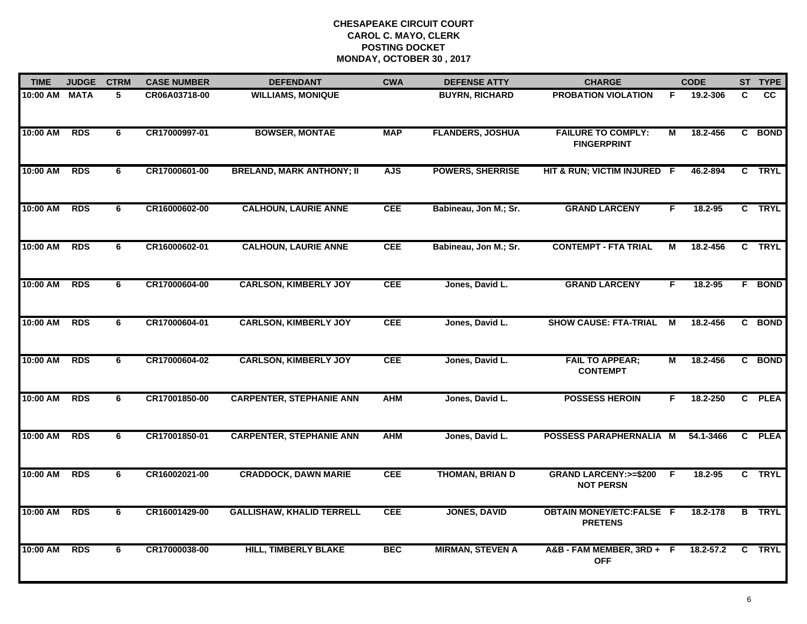| <b>TIME</b> | <b>JUDGE</b> | <b>CTRM</b> | <b>CASE NUMBER</b> | <b>DEFENDANT</b>                 | <b>CWA</b> | <b>DEFENSE ATTY</b>     | <b>CHARGE</b>                                       |                | <b>CODE</b> |   | ST TYPE       |
|-------------|--------------|-------------|--------------------|----------------------------------|------------|-------------------------|-----------------------------------------------------|----------------|-------------|---|---------------|
| 10:00 AM    | <b>MATA</b>  | 5           | CR06A03718-00      | <b>WILLIAMS, MONIQUE</b>         |            | <b>BUYRN, RICHARD</b>   | <b>PROBATION VIOLATION</b>                          | F.             | 19.2-306    | C | <b>CC</b>     |
| 10:00 AM    | <b>RDS</b>   | 6           | CR17000997-01      | <b>BOWSER, MONTAE</b>            | <b>MAP</b> | <b>FLANDERS, JOSHUA</b> | <b>FAILURE TO COMPLY:</b><br><b>FINGERPRINT</b>     | M              | 18.2-456    |   | C BOND        |
| 10:00 AM    | <b>RDS</b>   | 6           | CR17000601-00      | <b>BRELAND, MARK ANTHONY; II</b> | <b>AJS</b> | <b>POWERS, SHERRISE</b> | HIT & RUN; VICTIM INJURED F                         |                | 46.2-894    |   | C TRYL        |
| 10:00 AM    | <b>RDS</b>   | 6           | CR16000602-00      | <b>CALHOUN, LAURIE ANNE</b>      | <b>CEE</b> | Babineau, Jon M.; Sr.   | <b>GRAND LARCENY</b>                                | F              | $18.2 - 95$ |   | C TRYL        |
| 10:00 AM    | <b>RDS</b>   | 6           | CR16000602-01      | <b>CALHOUN, LAURIE ANNE</b>      | <b>CEE</b> | Babineau, Jon M.; Sr.   | <b>CONTEMPT - FTA TRIAL</b>                         | M              | 18.2-456    |   | C TRYL        |
| 10:00 AM    | <b>RDS</b>   | 6           | CR17000604-00      | <b>CARLSON, KIMBERLY JOY</b>     | <b>CEE</b> | Jones, David L.         | <b>GRAND LARCENY</b>                                | F.             | 18.2-95     |   | <b>F</b> BOND |
| 10:00 AM    | <b>RDS</b>   | 6           | CR17000604-01      | <b>CARLSON, KIMBERLY JOY</b>     | <b>CEE</b> | Jones, David L.         | <b>SHOW CAUSE: FTA-TRIAL</b>                        | $\overline{M}$ | 18.2-456    |   | C BOND        |
| 10:00 AM    | <b>RDS</b>   | 6           | CR17000604-02      | <b>CARLSON, KIMBERLY JOY</b>     | <b>CEE</b> | Jones, David L.         | <b>FAIL TO APPEAR;</b><br><b>CONTEMPT</b>           | М              | 18.2-456    |   | C BOND        |
| 10:00 AM    | <b>RDS</b>   | 6           | CR17001850-00      | <b>CARPENTER, STEPHANIE ANN</b>  | <b>AHM</b> | Jones, David L.         | <b>POSSESS HEROIN</b>                               | F              | 18.2-250    |   | C PLEA        |
| 10:00 AM    | <b>RDS</b>   | 6           | CR17001850-01      | <b>CARPENTER, STEPHANIE ANN</b>  | <b>AHM</b> | Jones, David L.         | POSSESS PARAPHERNALIA M                             |                | 54.1-3466   |   | C PLEA        |
| 10:00 AM    | <b>RDS</b>   | 6           | CR16002021-00      | <b>CRADDOCK, DAWN MARIE</b>      | <b>CEE</b> | <b>THOMAN, BRIAN D</b>  | <b>GRAND LARCENY:&gt;=\$200</b><br><b>NOT PERSN</b> | -F             | 18.2-95     |   | C TRYL        |
| 10:00 AM    | <b>RDS</b>   | 6           | CR16001429-00      | <b>GALLISHAW, KHALID TERRELL</b> | <b>CEE</b> | <b>JONES, DAVID</b>     | <b>OBTAIN MONEY/ETC:FALSE F</b><br><b>PRETENS</b>   |                | 18.2-178    |   | <b>B</b> TRYL |
| 10:00 AM    | <b>RDS</b>   | 6           | CR17000038-00      | <b>HILL, TIMBERLY BLAKE</b>      | <b>BEC</b> | <b>MIRMAN, STEVEN A</b> | A&B-FAM MEMBER, 3RD+F<br><b>OFF</b>                 |                | 18.2-57.2   | C | <b>TRYL</b>   |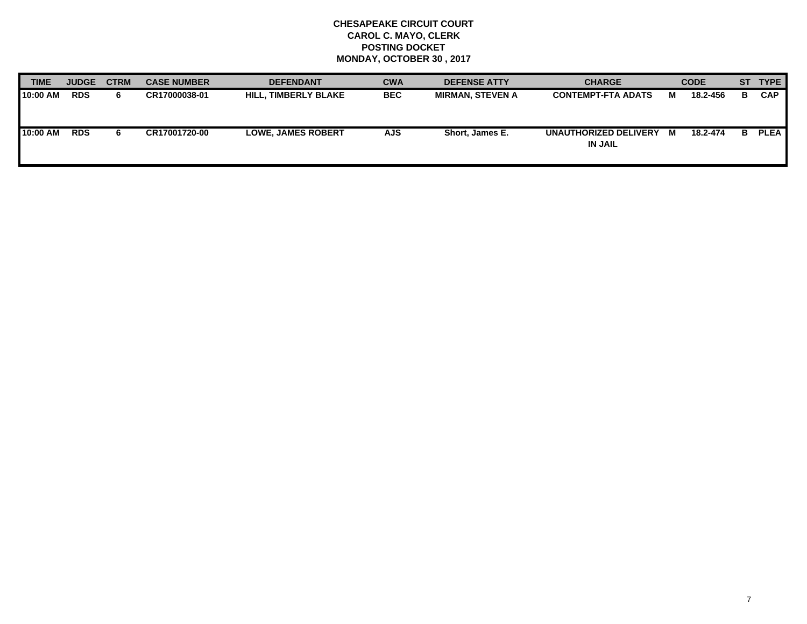| <b>TIME</b> | <b>JUDGE</b> | <b>CTRM</b> | <b>CASE NUMBER</b> | <b>DEFENDANT</b>            | <b>CWA</b> | <b>DEFENSE ATTY</b>     | <b>CHARGE</b>                           |   | <b>CODE</b> |    | ST TYPE     |
|-------------|--------------|-------------|--------------------|-----------------------------|------------|-------------------------|-----------------------------------------|---|-------------|----|-------------|
| 10:00 AM    | <b>RDS</b>   | 6.          | CR17000038-01      | <b>HILL, TIMBERLY BLAKE</b> | <b>BEC</b> | <b>MIRMAN, STEVEN A</b> | <b>CONTEMPT-FTA ADATS</b>               | м | 18.2-456    | в  | <b>CAP</b>  |
| 10:00 AM    | <b>RDS</b>   | 6.          | CR17001720-00      | <b>LOWE. JAMES ROBERT</b>   | <b>AJS</b> | Short. James E.         | UNAUTHORIZED DELIVERY<br><b>IN JAIL</b> | M | 18.2-474    | В. | <b>PLEA</b> |